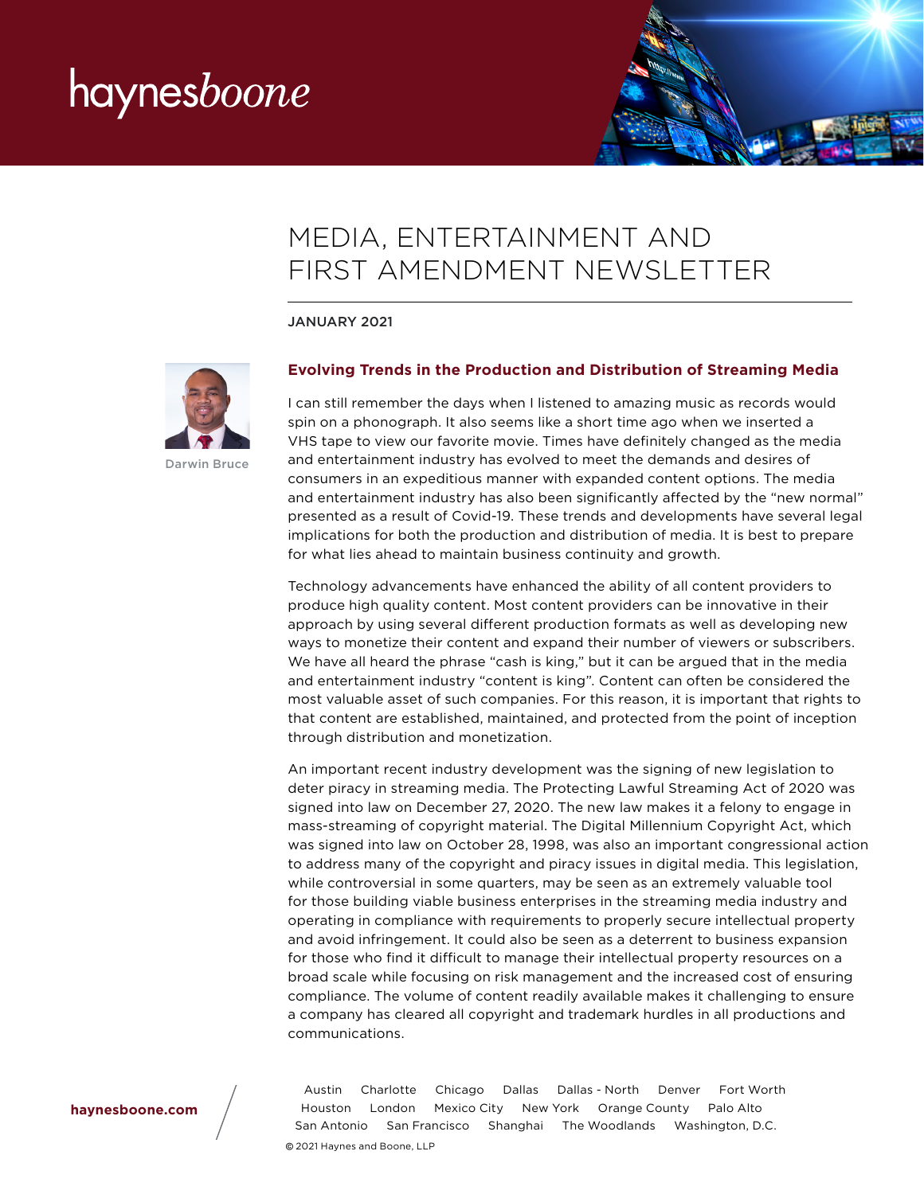

# MEDIA, ENTERTAINMENT AND FIRST AMENDMENT NEWSLETTER

JANUARY 2021



Darwin Bruce

### **Evolving Trends in the Production and Distribution of Streaming Media**

I can still remember the days when I listened to amazing music as records would spin on a phonograph. It also seems like a short time ago when we inserted a VHS tape to view our favorite movie. Times have definitely changed as the media and entertainment industry has evolved to meet the demands and desires of consumers in an expeditious manner with expanded content options. The media and entertainment industry has also been significantly affected by the "new normal" presented as a result of Covid-19. These trends and developments have several legal implications for both the production and distribution of media. It is best to prepare for what lies ahead to maintain business continuity and growth.

Technology advancements have enhanced the ability of all content providers to produce high quality content. Most content providers can be innovative in their approach by using several different production formats as well as developing new ways to monetize their content and expand their number of viewers or subscribers. We have all heard the phrase "cash is king," but it can be argued that in the media and entertainment industry "content is king". Content can often be considered the most valuable asset of such companies. For this reason, it is important that rights to that content are established, maintained, and protected from the point of inception through distribution and monetization.

An important recent industry development was the signing of new legislation to deter piracy in streaming media. The Protecting Lawful Streaming Act of 2020 was signed into law on December 27, 2020. The new law makes it a felony to engage in mass-streaming of copyright material. The Digital Millennium Copyright Act, which was signed into law on October 28, 1998, was also an important congressional action to address many of the copyright and piracy issues in digital media. This legislation, while controversial in some quarters, may be seen as an extremely valuable tool for those building viable business enterprises in the streaming media industry and operating in compliance with requirements to properly secure intellectual property and avoid infringement. It could also be seen as a deterrent to business expansion for those who find it difficult to manage their intellectual property resources on a broad scale while focusing on risk management and the increased cost of ensuring compliance. The volume of content readily available makes it challenging to ensure a company has cleared all copyright and trademark hurdles in all productions and communications.

**[haynesboone.com](http://www.haynesboone.com/)**

Austin Charlotte Chicago Dallas Dallas - North Denver Fort Worth Houston London Mexico City New York Orange County Palo Alto San Antonio San Francisco Shanghai The Woodlands Washington, D.C.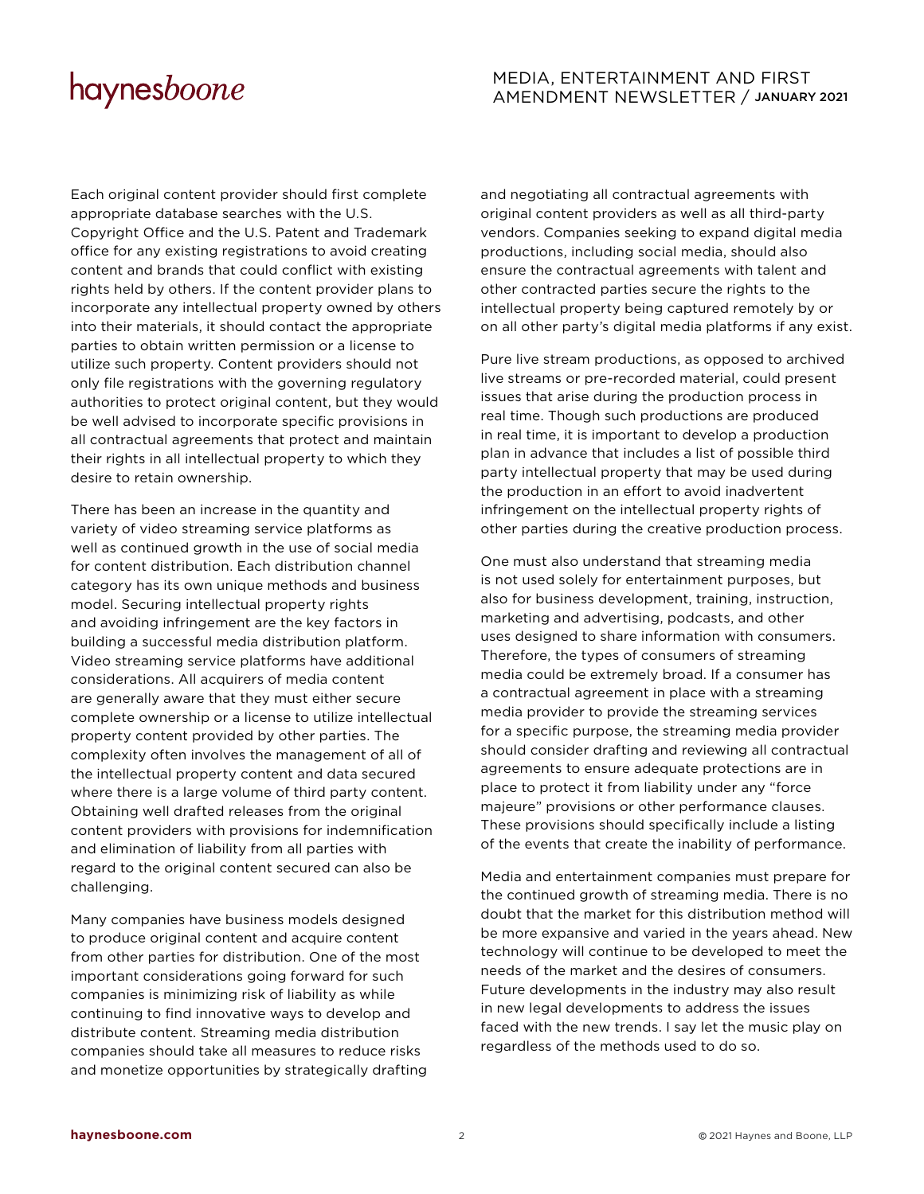# MEDIA, ENTERTAINMENT AND FIRST AMENDMENT NEWSLETTER / JANUARY 2021

Each original content provider should first complete appropriate database searches with the U.S. Copyright Office and the U.S. Patent and Trademark office for any existing registrations to avoid creating content and brands that could conflict with existing rights held by others. If the content provider plans to incorporate any intellectual property owned by others into their materials, it should contact the appropriate parties to obtain written permission or a license to utilize such property. Content providers should not only file registrations with the governing regulatory authorities to protect original content, but they would be well advised to incorporate specific provisions in all contractual agreements that protect and maintain their rights in all intellectual property to which they desire to retain ownership.

There has been an increase in the quantity and variety of video streaming service platforms as well as continued growth in the use of social media for content distribution. Each distribution channel category has its own unique methods and business model. Securing intellectual property rights and avoiding infringement are the key factors in building a successful media distribution platform. Video streaming service platforms have additional considerations. All acquirers of media content are generally aware that they must either secure complete ownership or a license to utilize intellectual property content provided by other parties. The complexity often involves the management of all of the intellectual property content and data secured where there is a large volume of third party content. Obtaining well drafted releases from the original content providers with provisions for indemnification and elimination of liability from all parties with regard to the original content secured can also be challenging.

Many companies have business models designed to produce original content and acquire content from other parties for distribution. One of the most important considerations going forward for such companies is minimizing risk of liability as while continuing to find innovative ways to develop and distribute content. Streaming media distribution companies should take all measures to reduce risks and monetize opportunities by strategically drafting and negotiating all contractual agreements with original content providers as well as all third-party vendors. Companies seeking to expand digital media productions, including social media, should also ensure the contractual agreements with talent and other contracted parties secure the rights to the intellectual property being captured remotely by or on all other party's digital media platforms if any exist.

Pure live stream productions, as opposed to archived live streams or pre-recorded material, could present issues that arise during the production process in real time. Though such productions are produced in real time, it is important to develop a production plan in advance that includes a list of possible third party intellectual property that may be used during the production in an effort to avoid inadvertent infringement on the intellectual property rights of other parties during the creative production process.

One must also understand that streaming media is not used solely for entertainment purposes, but also for business development, training, instruction, marketing and advertising, podcasts, and other uses designed to share information with consumers. Therefore, the types of consumers of streaming media could be extremely broad. If a consumer has a contractual agreement in place with a streaming media provider to provide the streaming services for a specific purpose, the streaming media provider should consider drafting and reviewing all contractual agreements to ensure adequate protections are in place to protect it from liability under any "force majeure" provisions or other performance clauses. These provisions should specifically include a listing of the events that create the inability of performance.

Media and entertainment companies must prepare for the continued growth of streaming media. There is no doubt that the market for this distribution method will be more expansive and varied in the years ahead. New technology will continue to be developed to meet the needs of the market and the desires of consumers. Future developments in the industry may also result in new legal developments to address the issues faced with the new trends. I say let the music play on regardless of the methods used to do so.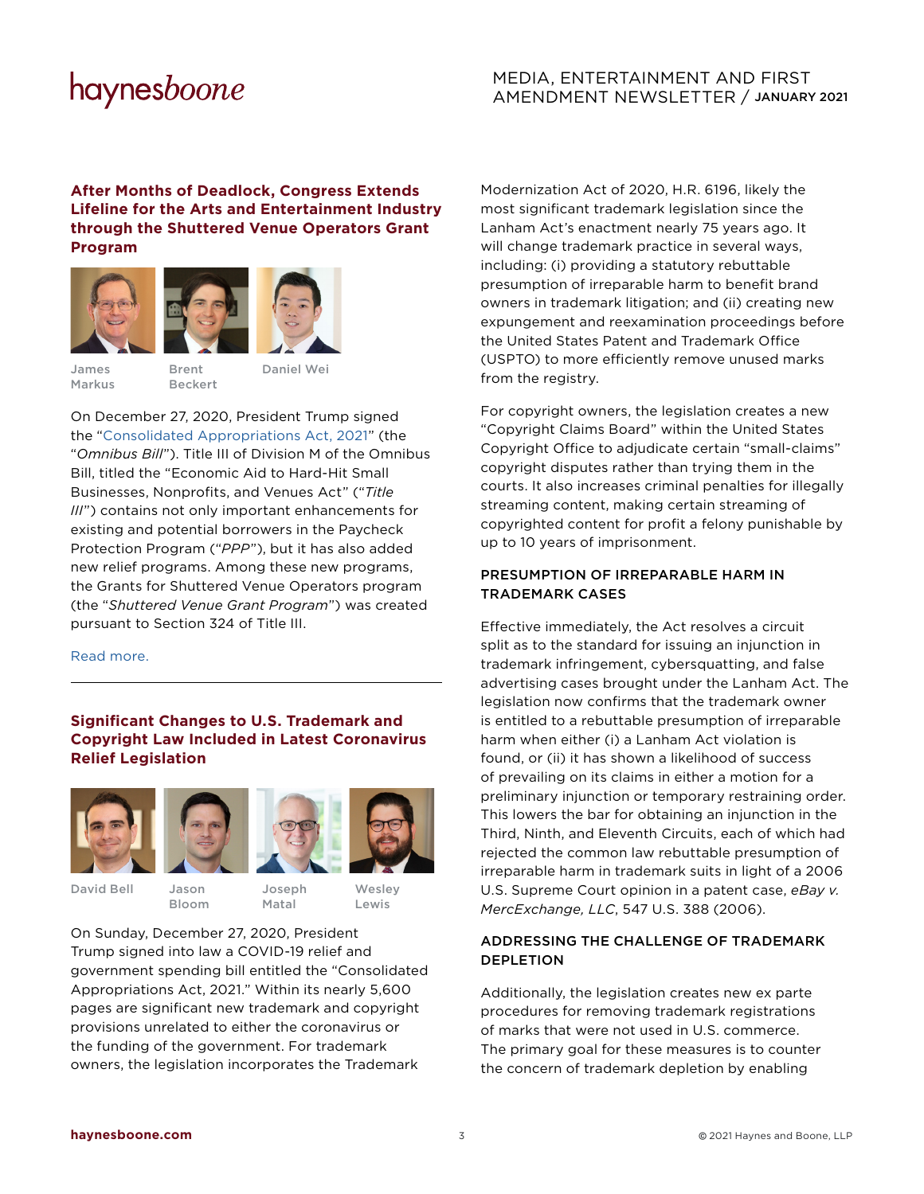# MEDIA, ENTERTAINMENT AND FIRST AMENDMENT NEWSLETTER / JANUARY 2021

### **After Months of Deadlock, Congress Extends Lifeline for the Arts and Entertainment Industry through the Shuttered Venue Operators Grant Program**





James Markus

Brent Beckert

On December 27, 2020, President Trump signed the ["Consolidated Appropriations Act, 2021](https://rules.house.gov/sites/democrats.rules.house.gov/files/BILLS-116HR133SA-RCP-116-68.pdf)" (the "*Omnibus Bill*"). Title III of Division M of the Omnibus Bill, titled the "Economic Aid to Hard-Hit Small Businesses, Nonprofits, and Venues Act" ("*Title III*") contains not only important enhancements for existing and potential borrowers in the Paycheck Protection Program ("*PPP*"), but it has also added new relief programs. Among these new programs, the Grants for Shuttered Venue Operators program (the "*Shuttered Venue Grant Program*") was created pursuant to Section 324 of Title III.

[Read more.](https://www.haynesboone.com/-/media/files/alert-pdfs/2020/congress-extends-lifeline-for-the-arts-and-entertainment-industry-shuttered-venue-operator-grant-pro.ashx?la=en&hash=6126B80120E710CF4661DF72AC9101D3D315DD24) 

### **Significant Changes to U.S. Trademark and Copyright Law Included in Latest Coronavirus Relief Legislation**







David Bell

Jason Bloom Joseph Matal

**Wesley** Lewis

On Sunday, December 27, 2020, President Trump signed into law a COVID-19 relief and government spending bill entitled the "Consolidated Appropriations Act, 2021." Within its nearly 5,600 pages are significant new trademark and copyright provisions unrelated to either the coronavirus or the funding of the government. For trademark owners, the legislation incorporates the Trademark

Modernization Act of 2020, H.R. 6196, likely the most significant trademark legislation since the Lanham Act's enactment nearly 75 years ago. It will change trademark practice in several ways, including: (i) providing a statutory rebuttable presumption of irreparable harm to benefit brand owners in trademark litigation; and (ii) creating new expungement and reexamination proceedings before the United States Patent and Trademark Office (USPTO) to more efficiently remove unused marks from the registry.

For copyright owners, the legislation creates a new "Copyright Claims Board" within the United States Copyright Office to adjudicate certain "small-claims" copyright disputes rather than trying them in the courts. It also increases criminal penalties for illegally streaming content, making certain streaming of copyrighted content for profit a felony punishable by up to 10 years of imprisonment.

### PRESUMPTION OF IRREPARABLE HARM IN TRADEMARK CASES

Effective immediately, the Act resolves a circuit split as to the standard for issuing an injunction in trademark infringement, cybersquatting, and false advertising cases brought under the Lanham Act. The legislation now confirms that the trademark owner is entitled to a rebuttable presumption of irreparable harm when either (i) a Lanham Act violation is found, or (ii) it has shown a likelihood of success of prevailing on its claims in either a motion for a preliminary injunction or temporary restraining order. This lowers the bar for obtaining an injunction in the Third, Ninth, and Eleventh Circuits, each of which had rejected the common law rebuttable presumption of irreparable harm in trademark suits in light of a 2006 U.S. Supreme Court opinion in a patent case, *eBay v. MercExchange, LLC*, 547 U.S. 388 (2006).

### ADDRESSING THE CHALLENGE OF TRADEMARK DEPLETION

Additionally, the legislation creates new ex parte procedures for removing trademark registrations of marks that were not used in U.S. commerce. The primary goal for these measures is to counter the concern of trademark depletion by enabling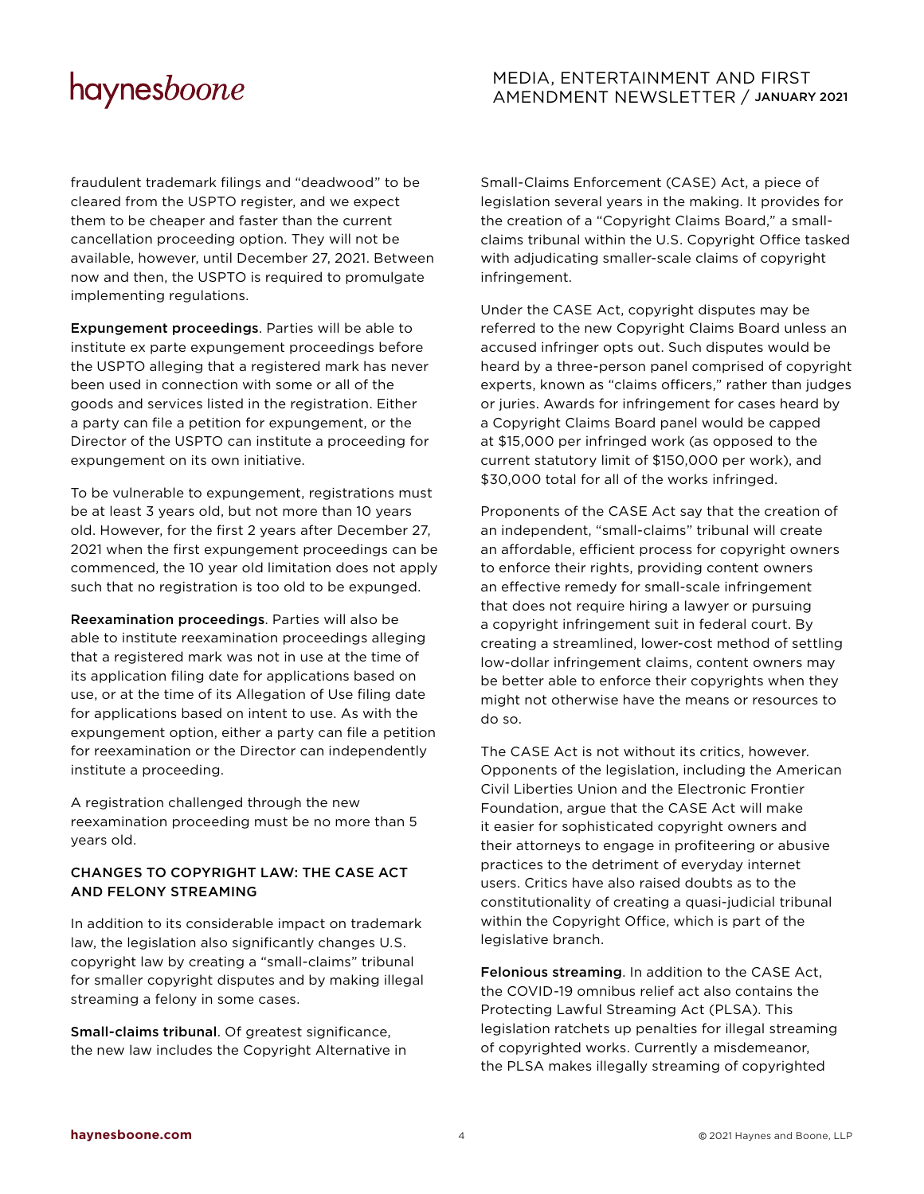fraudulent trademark filings and "deadwood" to be cleared from the USPTO register, and we expect them to be cheaper and faster than the current cancellation proceeding option. They will not be available, however, until December 27, 2021. Between now and then, the USPTO is required to promulgate implementing regulations.

Expungement proceedings. Parties will be able to institute ex parte expungement proceedings before the USPTO alleging that a registered mark has never been used in connection with some or all of the goods and services listed in the registration. Either a party can file a petition for expungement, or the Director of the USPTO can institute a proceeding for expungement on its own initiative.

To be vulnerable to expungement, registrations must be at least 3 years old, but not more than 10 years old. However, for the first 2 years after December 27, 2021 when the first expungement proceedings can be commenced, the 10 year old limitation does not apply such that no registration is too old to be expunged.

Reexamination proceedings. Parties will also be able to institute reexamination proceedings alleging that a registered mark was not in use at the time of its application filing date for applications based on use, or at the time of its Allegation of Use filing date for applications based on intent to use. As with the expungement option, either a party can file a petition for reexamination or the Director can independently institute a proceeding.

A registration challenged through the new reexamination proceeding must be no more than 5 years old.

### CHANGES TO COPYRIGHT LAW: THE CASE ACT AND FELONY STREAMING

In addition to its considerable impact on trademark law, the legislation also significantly changes U.S. copyright law by creating a "small-claims" tribunal for smaller copyright disputes and by making illegal streaming a felony in some cases.

Small-claims tribunal. Of greatest significance, the new law includes the Copyright Alternative in

# MEDIA, ENTERTAINMENT AND FIRST AMENDMENT NEWSLETTER / JANUARY 2021

Small-Claims Enforcement (CASE) Act, a piece of legislation several years in the making. It provides for the creation of a "Copyright Claims Board," a smallclaims tribunal within the U.S. Copyright Office tasked with adjudicating smaller-scale claims of copyright infringement.

Under the CASE Act, copyright disputes may be referred to the new Copyright Claims Board unless an accused infringer opts out. Such disputes would be heard by a three-person panel comprised of copyright experts, known as "claims officers," rather than judges or juries. Awards for infringement for cases heard by a Copyright Claims Board panel would be capped at \$15,000 per infringed work (as opposed to the current statutory limit of \$150,000 per work), and \$30,000 total for all of the works infringed.

Proponents of the CASE Act say that the creation of an independent, "small-claims" tribunal will create an affordable, efficient process for copyright owners to enforce their rights, providing content owners an effective remedy for small-scale infringement that does not require hiring a lawyer or pursuing a copyright infringement suit in federal court. By creating a streamlined, lower-cost method of settling low-dollar infringement claims, content owners may be better able to enforce their copyrights when they might not otherwise have the means or resources to do so.

The CASE Act is not without its critics, however. Opponents of the legislation, including the American Civil Liberties Union and the Electronic Frontier Foundation, argue that the CASE Act will make it easier for sophisticated copyright owners and their attorneys to engage in profiteering or abusive practices to the detriment of everyday internet users. Critics have also raised doubts as to the constitutionality of creating a quasi-judicial tribunal within the Copyright Office, which is part of the legislative branch.

Felonious streaming. In addition to the CASE Act, the COVID-19 omnibus relief act also contains the Protecting Lawful Streaming Act (PLSA). This legislation ratchets up penalties for illegal streaming of copyrighted works. Currently a misdemeanor, the PLSA makes illegally streaming of copyrighted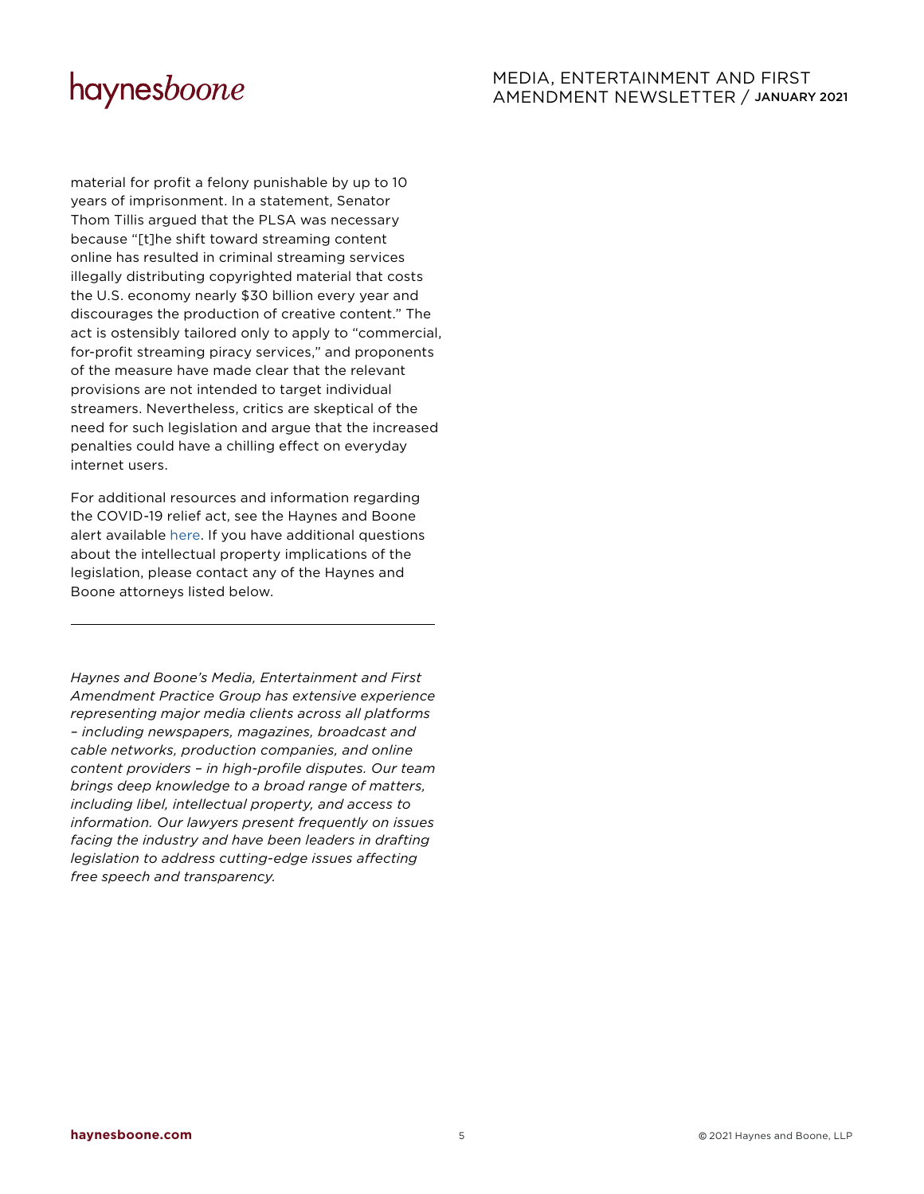# MEDIA, ENTERTAINMENT AND FIRST AMENDMENT NEWSLETTER / JANUARY 2021

material for profit a felony punishable by up to 10 years of imprisonment. In a statement, Senator Thom Tillis argued that the PLSA was necessary because "[t]he shift toward streaming content online has resulted in criminal streaming services illegally distributing copyrighted material that costs the U.S. economy nearly \$30 billion every year and discourages the production of creative content." The act is ostensibly tailored only to apply to "commercial, for-profit streaming piracy services," and proponents of the measure have made clear that the relevant provisions are not intended to target individual streamers. Nevertheless, critics are skeptical of the need for such legislation and argue that the increased penalties could have a chilling effect on everyday internet users.

For additional resources and information regarding the COVID-19 relief act, see the Haynes and Boone alert available [here.](https://www.haynesboone.com/-/media/files/alert-pdfs/2020/congress-revises-ppp-rules-for-existing-borrowers.ashx?la=en&hash=DAD560793F65790A89236211B7422AB889B57D10&hash=DAD560793F65790A89236211B7422AB889B57D10) If you have additional questions about the intellectual property implications of the legislation, please contact any of the Haynes and Boone attorneys listed below.

*Haynes and Boone's Media, Entertainment and First Amendment Practice Group has extensive experience representing major media clients across all platforms – including newspapers, magazines, broadcast and cable networks, production companies, and online content providers – in high-profile disputes. Our team brings deep knowledge to a broad range of matters, including libel, intellectual property, and access to information. Our lawyers present frequently on issues facing the industry and have been leaders in drafting legislation to address cutting-edge issues affecting free speech and transparency.*